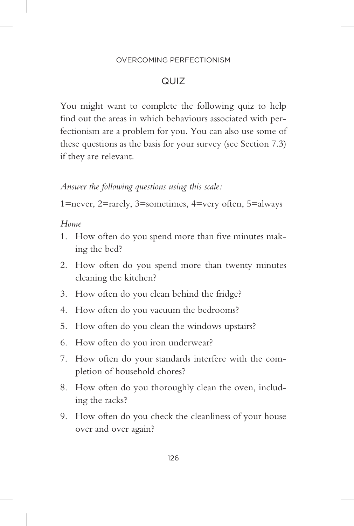#### OVERCOMING PERFECTIONISM

# QUIZ

You might want to complete the following quiz to help find out the areas in which behaviours associated with perfectionism are a problem for you. You can also use some of these questions as the basis for your survey (see Section 7.3) if they are relevant.

## *Answer the following questions using this scale:*

1=never, 2=rarely, 3=sometimes, 4=very often, 5=always

### *Home*

- 1. How often do you spend more than five minutes making the bed?
- 2. How often do you spend more than twenty minutes cleaning the kitchen?
- 3. How often do you clean behind the fridge?
- 4. How often do you vacuum the bedrooms?
- 5. How often do you clean the windows upstairs?
- 6. How often do you iron underwear?
- 7. How often do your standards interfere with the completion of household chores?
- 8. How often do you thoroughly clean the oven, including the racks?
- 9. How often do you check the cleanliness of your house over and over again?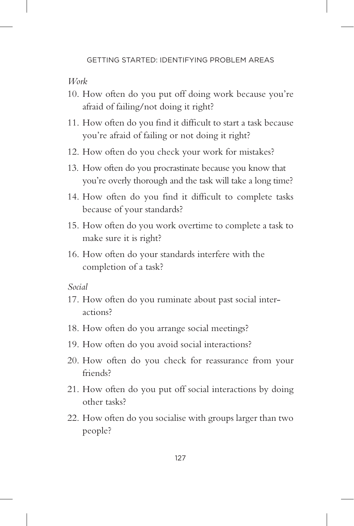*Work*

- 10. How often do you put off doing work because you're afraid of failing/not doing it right?
- 11. How often do you find it difficult to start a task because you're afraid of failing or not doing it right?
- 12. How often do you check your work for mistakes?
- 13. How often do you procrastinate because you know that you're overly thorough and the task will take a long time?
- 14. How often do you find it difficult to complete tasks because of your standards?
- 15. How often do you work overtime to complete a task to make sure it is right?
- 16. How often do your standards interfere with the completion of a task?

*Social*

- 17. How often do you ruminate about past social interactions?
- 18. How often do you arrange social meetings?
- 19. How often do you avoid social interactions?
- 20. How often do you check for reassurance from your friends?
- 21. How often do you put off social interactions by doing other tasks?
- 22. How often do you socialise with groups larger than two people?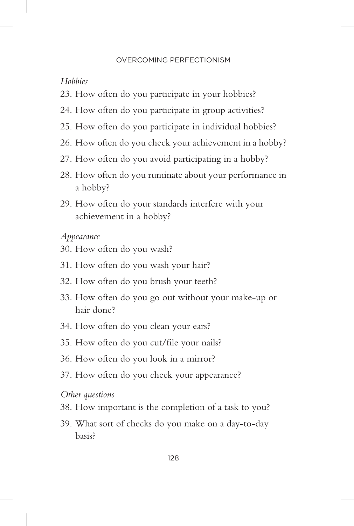#### OVERCOMING PERFECTIONISM

## *Hobbies*

- 23. How often do you participate in your hobbies?
- 24. How often do you participate in group activities?
- 25. How often do you participate in individual hobbies?
- 26. How often do you check your achievement in a hobby?
- 27. How often do you avoid participating in a hobby?
- 28. How often do you ruminate about your performance in a hobby?
- 29. How often do your standards interfere with your achievement in a hobby?

### *Appearance*

- 30. How often do you wash?
- 31. How often do you wash your hair?
- 32. How often do you brush your teeth?
- 33. How often do you go out without your make-up or hair done?
- 34. How often do you clean your ears?
- 35. How often do you cut/file your nails?
- 36. How often do you look in a mirror?
- 37. How often do you check your appearance?

### *Other questions*

- 38. How important is the completion of a task to you?
- 39. What sort of checks do you make on a day-to-day basis?